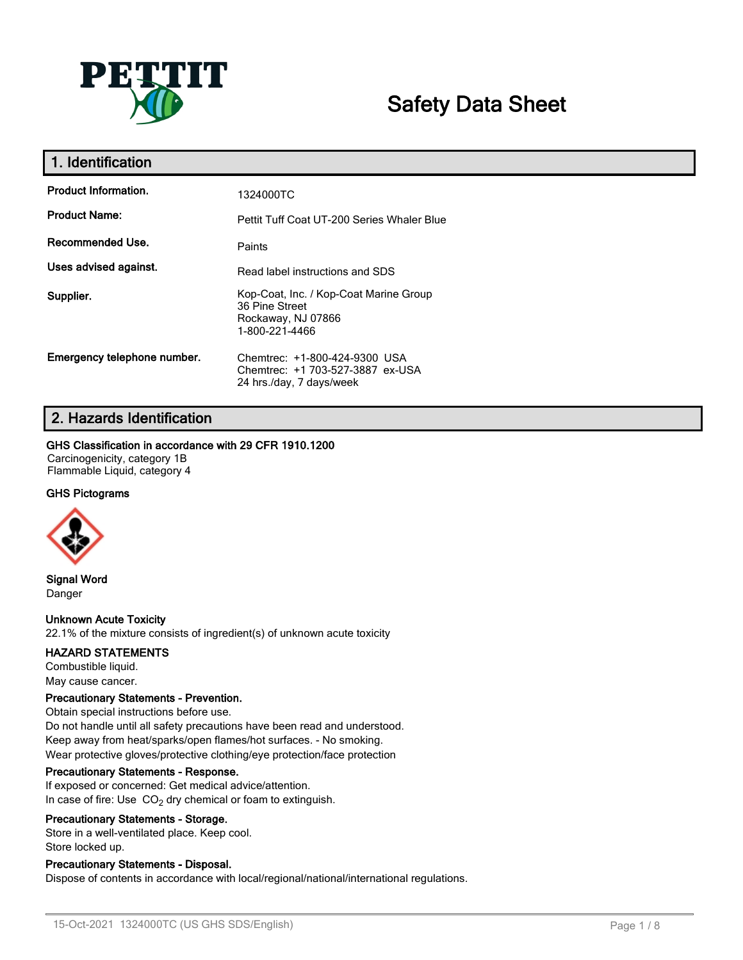

# **Safety Data Sheet**

| 1. Identification           |                                                                                                  |
|-----------------------------|--------------------------------------------------------------------------------------------------|
| <b>Product Information.</b> | 1324000TC                                                                                        |
| <b>Product Name:</b>        | Pettit Tuff Coat UT-200 Series Whaler Blue                                                       |
| Recommended Use.            | Paints                                                                                           |
| Uses advised against.       | Read label instructions and SDS                                                                  |
| Supplier.                   | Kop-Coat, Inc. / Kop-Coat Marine Group<br>36 Pine Street<br>Rockaway, NJ 07866<br>1-800-221-4466 |
| Emergency telephone number. | Chemtrec: +1-800-424-9300 USA<br>Chemtrec: +1 703-527-3887 ex-USA<br>24 hrs./day, 7 days/week    |

# **2. Hazards Identification**

### **GHS Classification in accordance with 29 CFR 1910.1200**

Carcinogenicity, category 1B Flammable Liquid, category 4

### **GHS Pictograms**



**Signal Word** Danger

### **Unknown Acute Toxicity**

22.1% of the mixture consists of ingredient(s) of unknown acute toxicity

### **HAZARD STATEMENTS**

Combustible liquid. May cause cancer.

### **Precautionary Statements - Prevention.**

Obtain special instructions before use. Do not handle until all safety precautions have been read and understood. Keep away from heat/sparks/open flames/hot surfaces. - No smoking. Wear protective gloves/protective clothing/eye protection/face protection

### **Precautionary Statements - Response.**

If exposed or concerned: Get medical advice/attention. In case of fire: Use  $CO<sub>2</sub>$  dry chemical or foam to extinguish.

### **Precautionary Statements - Storage.**

Store in a well-ventilated place. Keep cool. Store locked up.

### **Precautionary Statements - Disposal.**

Dispose of contents in accordance with local/regional/national/international regulations.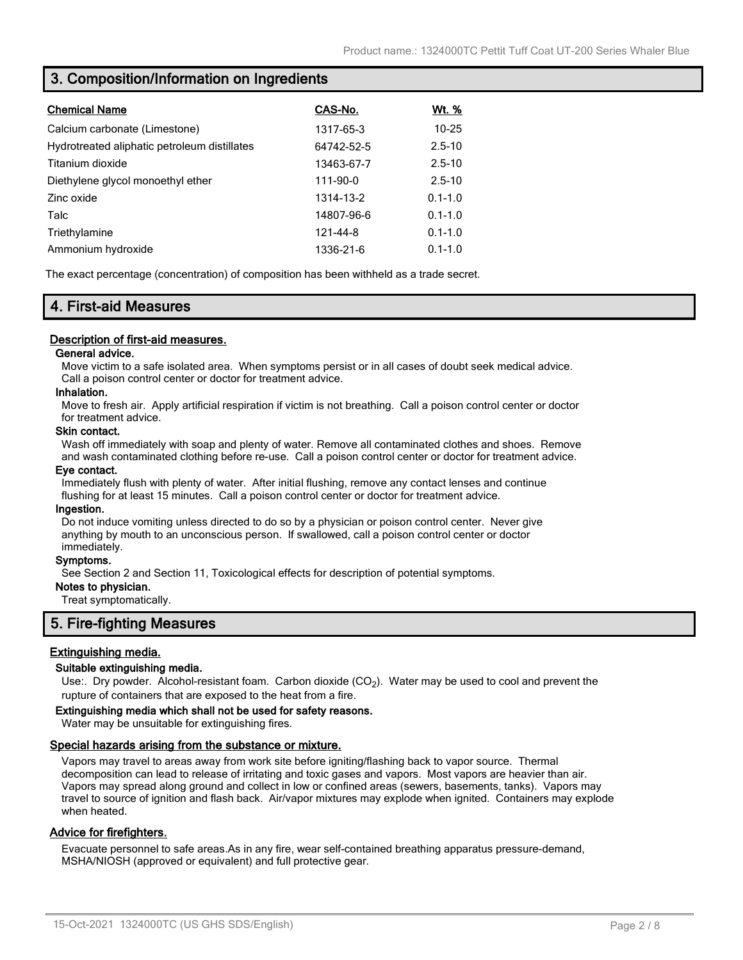# **3. Composition/Information on Ingredients**

| <b>Chemical Name</b>                         | CAS-No.    | <u>Wt. %</u> |
|----------------------------------------------|------------|--------------|
| Calcium carbonate (Limestone)                | 1317-65-3  | $10 - 25$    |
| Hydrotreated aliphatic petroleum distillates | 64742-52-5 | $2.5 - 10$   |
| Titanium dioxide                             | 13463-67-7 | $2.5 - 10$   |
| Diethylene glycol monoethyl ether            | 111-90-0   | $2.5 - 10$   |
| Zinc oxide                                   | 1314-13-2  | $0.1 - 1.0$  |
| Talc                                         | 14807-96-6 | $0.1 - 1.0$  |
| Triethylamine                                | 121-44-8   | $0.1 - 1.0$  |
| Ammonium hydroxide                           | 1336-21-6  | $0.1 - 1.0$  |

The exact percentage (concentration) of composition has been withheld as a trade secret.

# **4. First-aid Measures**

### **Description of first-aid measures.**

### **General advice.**

Move victim to a safe isolated area. When symptoms persist or in all cases of doubt seek medical advice. Call a poison control center or doctor for treatment advice.

### **Inhalation.**

Move to fresh air. Apply artificial respiration if victim is not breathing. Call a poison control center or doctor for treatment advice.

#### **Skin contact.**

Wash off immediately with soap and plenty of water. Remove all contaminated clothes and shoes. Remove and wash contaminated clothing before re-use. Call a poison control center or doctor for treatment advice.

### **Eye contact.**

Immediately flush with plenty of water. After initial flushing, remove any contact lenses and continue flushing for at least 15 minutes. Call a poison control center or doctor for treatment advice.

#### **Ingestion.**

Do not induce vomiting unless directed to do so by a physician or poison control center. Never give anything by mouth to an unconscious person. If swallowed, call a poison control center or doctor immediately.

### **Symptoms.**

See Section 2 and Section 11, Toxicological effects for description of potential symptoms.

### **Notes to physician.**

Treat symptomatically.

# **5. Fire-fighting Measures**

### **Extinguishing media.**

### **Suitable extinguishing media.**

Use:. Dry powder. Alcohol-resistant foam. Carbon dioxide (CO<sub>2</sub>). Water may be used to cool and prevent the rupture of containers that are exposed to the heat from a fire.

#### **Extinguishing media which shall not be used for safety reasons.**

Water may be unsuitable for extinguishing fires.

### **Special hazards arising from the substance or mixture.**

Vapors may travel to areas away from work site before igniting/flashing back to vapor source. Thermal decomposition can lead to release of irritating and toxic gases and vapors. Most vapors are heavier than air. Vapors may spread along ground and collect in low or confined areas (sewers, basements, tanks). Vapors may travel to source of ignition and flash back. Air/vapor mixtures may explode when ignited. Containers may explode when heated.

### **Advice for firefighters.**

Evacuate personnel to safe areas.As in any fire, wear self-contained breathing apparatus pressure-demand, MSHA/NIOSH (approved or equivalent) and full protective gear.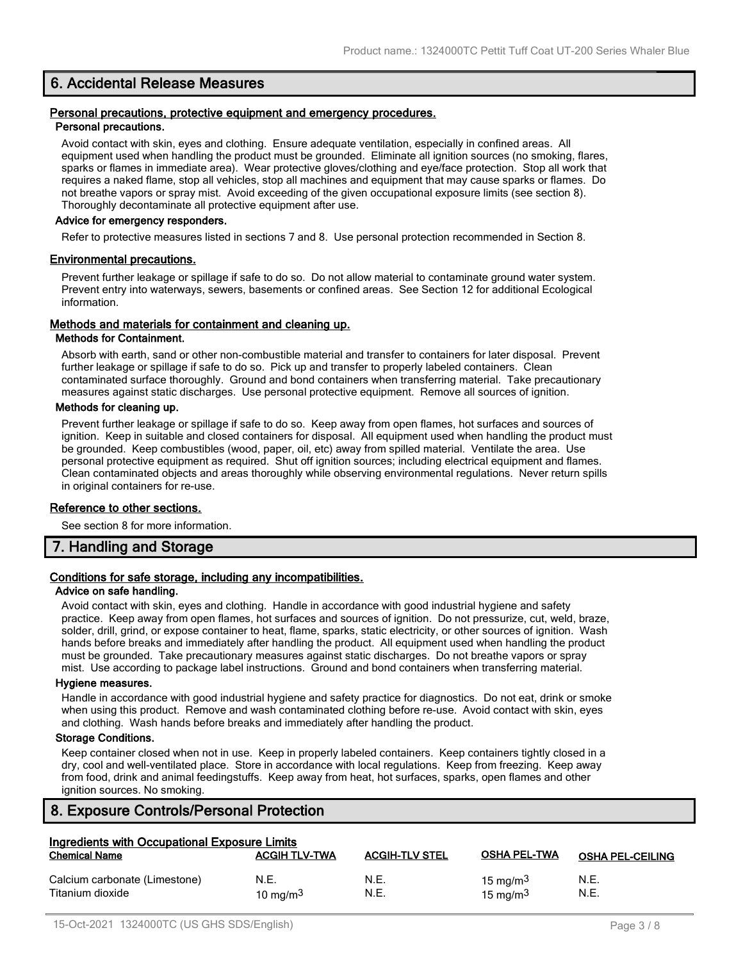# **6. Accidental Release Measures**

#### **Personal precautions, protective equipment and emergency procedures. Personal precautions.**

Avoid contact with skin, eyes and clothing. Ensure adequate ventilation, especially in confined areas. All equipment used when handling the product must be grounded. Eliminate all ignition sources (no smoking, flares, sparks or flames in immediate area). Wear protective gloves/clothing and eye/face protection. Stop all work that requires a naked flame, stop all vehicles, stop all machines and equipment that may cause sparks or flames. Do not breathe vapors or spray mist. Avoid exceeding of the given occupational exposure limits (see section 8). Thoroughly decontaminate all protective equipment after use.

### **Advice for emergency responders.**

Refer to protective measures listed in sections 7 and 8. Use personal protection recommended in Section 8.

### **Environmental precautions.**

Prevent further leakage or spillage if safe to do so. Do not allow material to contaminate ground water system. Prevent entry into waterways, sewers, basements or confined areas. See Section 12 for additional Ecological information.

### **Methods and materials for containment and cleaning up.**

### **Methods for Containment.**

Absorb with earth, sand or other non-combustible material and transfer to containers for later disposal. Prevent further leakage or spillage if safe to do so. Pick up and transfer to properly labeled containers. Clean contaminated surface thoroughly. Ground and bond containers when transferring material. Take precautionary measures against static discharges. Use personal protective equipment. Remove all sources of ignition.

### **Methods for cleaning up.**

Prevent further leakage or spillage if safe to do so. Keep away from open flames, hot surfaces and sources of ignition. Keep in suitable and closed containers for disposal. All equipment used when handling the product must be grounded. Keep combustibles (wood, paper, oil, etc) away from spilled material. Ventilate the area. Use personal protective equipment as required. Shut off ignition sources; including electrical equipment and flames. Clean contaminated objects and areas thoroughly while observing environmental regulations. Never return spills in original containers for re-use.

### **Reference to other sections.**

See section 8 for more information.

# **7. Handling and Storage**

### **Conditions for safe storage, including any incompatibilities.**

### **Advice on safe handling.**

Avoid contact with skin, eyes and clothing. Handle in accordance with good industrial hygiene and safety practice. Keep away from open flames, hot surfaces and sources of ignition. Do not pressurize, cut, weld, braze, solder, drill, grind, or expose container to heat, flame, sparks, static electricity, or other sources of ignition. Wash hands before breaks and immediately after handling the product. All equipment used when handling the product must be grounded. Take precautionary measures against static discharges. Do not breathe vapors or spray mist. Use according to package label instructions. Ground and bond containers when transferring material.

### **Hygiene measures.**

Handle in accordance with good industrial hygiene and safety practice for diagnostics. Do not eat, drink or smoke when using this product. Remove and wash contaminated clothing before re-use. Avoid contact with skin, eyes and clothing. Wash hands before breaks and immediately after handling the product.

### **Storage Conditions.**

Keep container closed when not in use. Keep in properly labeled containers. Keep containers tightly closed in a dry, cool and well-ventilated place. Store in accordance with local regulations. Keep from freezing. Keep away from food, drink and animal feedingstuffs. Keep away from heat, hot surfaces, sparks, open flames and other ignition sources. No smoking.

# **8. Exposure Controls/Personal Protection**

| Ingredients with Occupational Exposure Limits     |                      |                       |                                     |                         |
|---------------------------------------------------|----------------------|-----------------------|-------------------------------------|-------------------------|
| <b>Chemical Name</b>                              | <b>ACGIH TLV-TWA</b> | <b>ACGIH-TLV STEL</b> | <b>OSHA PEL-TWA</b>                 | <b>OSHA PEL-CEILING</b> |
| Calcium carbonate (Limestone)<br>Titanium dioxide | N.E.<br>10 mg/m $3$  | N.E.<br>N.E.          | 15 mg/m <sup>3</sup><br>15 mg/m $3$ | N.E.<br>N.E.            |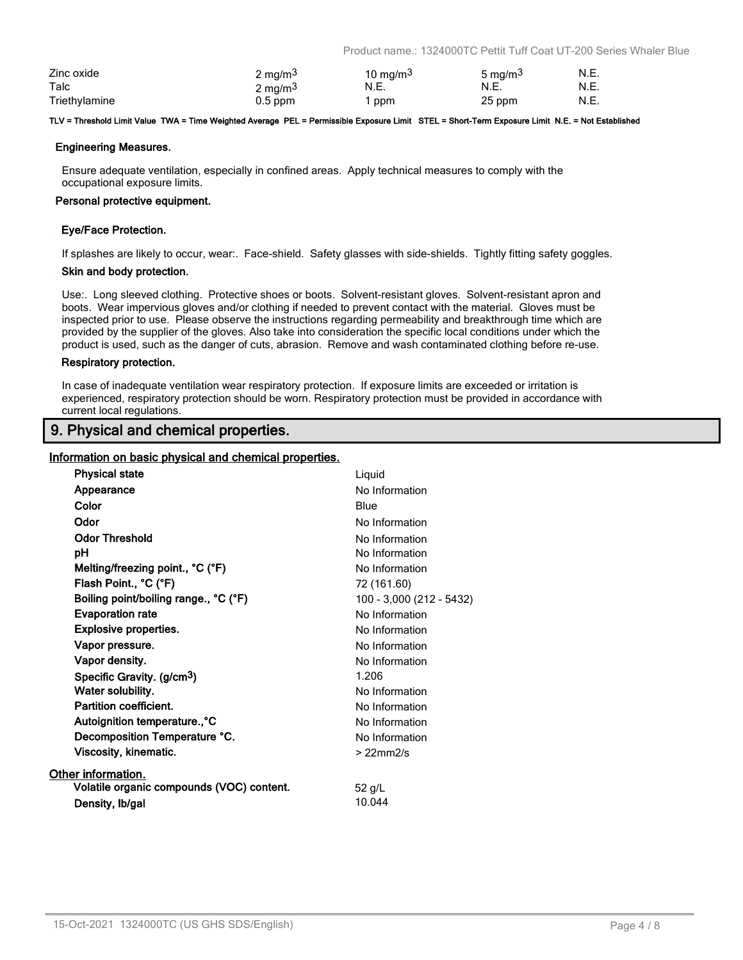Product name.: 1324000TC Pettit Tuff Coat UT-200 Series Whaler Blue

| Zinc oxide    | 2 mg/m <sup>3</sup> | 10 mg/m $3$ | 5 mg/m <sup>3</sup> | N.E. |
|---------------|---------------------|-------------|---------------------|------|
| Talc          | 2 mg/m <sup>3</sup> | N.E.        | N.E.                | N.E. |
| Triethylamine | $0.5$ ppm           | ppm         | 25 ppm              | N.E. |

#### **TLV = Threshold Limit Value TWA = Time Weighted Average PEL = Permissible Exposure Limit STEL = Short-Term Exposure Limit N.E. = Not Established**

### **Engineering Measures.**

Ensure adequate ventilation, especially in confined areas. Apply technical measures to comply with the occupational exposure limits.

#### **Personal protective equipment.**

### **Eye/Face Protection.**

If splashes are likely to occur, wear:. Face-shield. Safety glasses with side-shields. Tightly fitting safety goggles.

#### **Skin and body protection.**

Use:. Long sleeved clothing. Protective shoes or boots. Solvent-resistant gloves. Solvent-resistant apron and boots. Wear impervious gloves and/or clothing if needed to prevent contact with the material. Gloves must be inspected prior to use. Please observe the instructions regarding permeability and breakthrough time which are provided by the supplier of the gloves. Also take into consideration the specific local conditions under which the product is used, such as the danger of cuts, abrasion. Remove and wash contaminated clothing before re-use.

#### **Respiratory protection.**

In case of inadequate ventilation wear respiratory protection. If exposure limits are exceeded or irritation is experienced, respiratory protection should be worn. Respiratory protection must be provided in accordance with current local regulations.

# **9. Physical and chemical properties.**

### **Information on basic physical and chemical properties.**

| <b>Physical state</b>                     | Liquid                   |
|-------------------------------------------|--------------------------|
| Appearance                                | No Information           |
| Color                                     | Blue                     |
| Odor                                      | No Information           |
| <b>Odor Threshold</b>                     | No Information           |
| рH                                        | No Information           |
| Melting/freezing point., °C (°F)          | No Information           |
| Flash Point., °C (°F)                     | 72 (161.60)              |
| Boiling point/boiling range., °C (°F)     | 100 - 3,000 (212 - 5432) |
| <b>Evaporation rate</b>                   | No Information           |
| <b>Explosive properties.</b>              | No Information           |
| Vapor pressure.                           | No Information           |
| Vapor density.                            | No Information           |
| Specific Gravity. (g/cm <sup>3</sup> )    | 1.206                    |
| Water solubility.                         | No Information           |
| Partition coefficient.                    | No Information           |
| Autoignition temperature., °C             | No Information           |
| Decomposition Temperature °C.             | No Information           |
| Viscosity, kinematic.                     | $>22$ mm $2/s$           |
| Other information.                        |                          |
| Volatile organic compounds (VOC) content. | 52 g/L                   |
| Density, Ib/gal                           | 10.044                   |
|                                           |                          |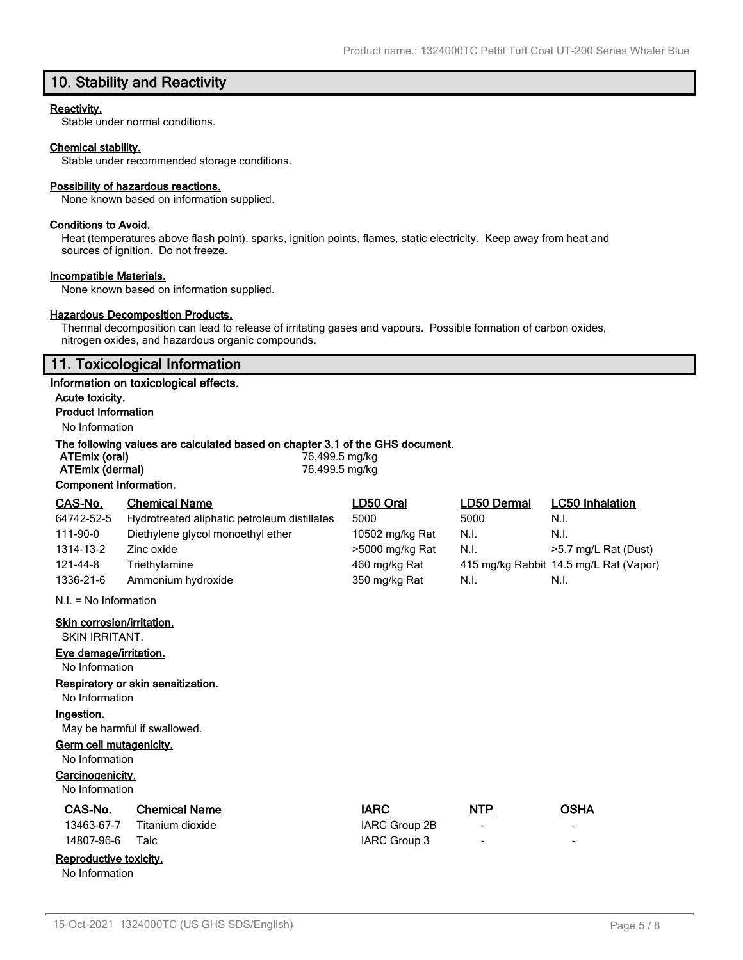# **10. Stability and Reactivity**

### **Reactivity.**

Stable under normal conditions.

### **Chemical stability.**

Stable under recommended storage conditions.

#### **Possibility of hazardous reactions.**

None known based on information supplied.

#### **Conditions to Avoid.**

Heat (temperatures above flash point), sparks, ignition points, flames, static electricity. Keep away from heat and sources of ignition. Do not freeze.

#### **Incompatible Materials.**

None known based on information supplied.

### **Hazardous Decomposition Products.**

Thermal decomposition can lead to release of irritating gases and vapours. Possible formation of carbon oxides, nitrogen oxides, and hazardous organic compounds.

### **11. Toxicological Information**

#### **Information on toxicological effects.**

**Acute toxicity. Product Information**

# No Information

### **The following values are calculated based on chapter 3.1 of the GHS document.**

| ATEmix (oral)                 | 76,499.5 mg/kg |
|-------------------------------|----------------|
| ATEmix (dermal)               | 76,499.5 mg/kg |
| <b>Component Information.</b> |                |

| CAS-No.                   | <b>Chemical Name</b>                         | LD50 Oral       | LD50 Dermal | <b>LC50 Inhalation</b>                 |
|---------------------------|----------------------------------------------|-----------------|-------------|----------------------------------------|
| 64742-52-5                | Hydrotreated aliphatic petroleum distillates | 5000            | 5000        | N.I.                                   |
| 111-90-0                  | Diethylene glycol monoethyl ether            | 10502 mg/kg Rat | N.I.        | N.I.                                   |
| 1314-13-2                 | Zinc oxide                                   | >5000 mg/kg Rat | N.I.        | >5.7 mg/L Rat (Dust)                   |
| 121-44-8                  | Triethylamine                                | 460 mg/kg Rat   |             | 415 mg/kg Rabbit 14.5 mg/L Rat (Vapor) |
| 1336-21-6                 | Ammonium hydroxide                           | 350 mg/kg Rat   | N.I.        | N.I.                                   |
| $N.I. = No$ Information   |                                              |                 |             |                                        |
| Skin corrosion/irritation |                                              |                 |             |                                        |

**Skin corrosion/irritation.**

SKIN IRRITANT.

### **Eye damage/irritation.**

No Information

### **Respiratory or skin sensitization.**

No Information

# **Ingestion.**

May be harmful if swallowed.

### **Germ cell mutagenicity.**

No Information

### **Carcinogenicity.**

No Information

| CAS-No. | <b>Chemical Name</b>        | <b>IARC</b>   | <b>NTP</b> | OSHA |
|---------|-----------------------------|---------------|------------|------|
|         | 13463-67-7 Titanium dioxide | IARC Group 2B |            |      |

| 1940-07-7  | TILAHIUHI UIVAIUT | <b>INITY GIVER ZD</b> |  |
|------------|-------------------|-----------------------|--|
| 14807-96-6 | Talc              | IARC Group 3          |  |

# **Reproductive toxicity.**

No Information

| IARC            |  |
|-----------------|--|
| IARC Group 2B   |  |
| $10DCD$ Croup 2 |  |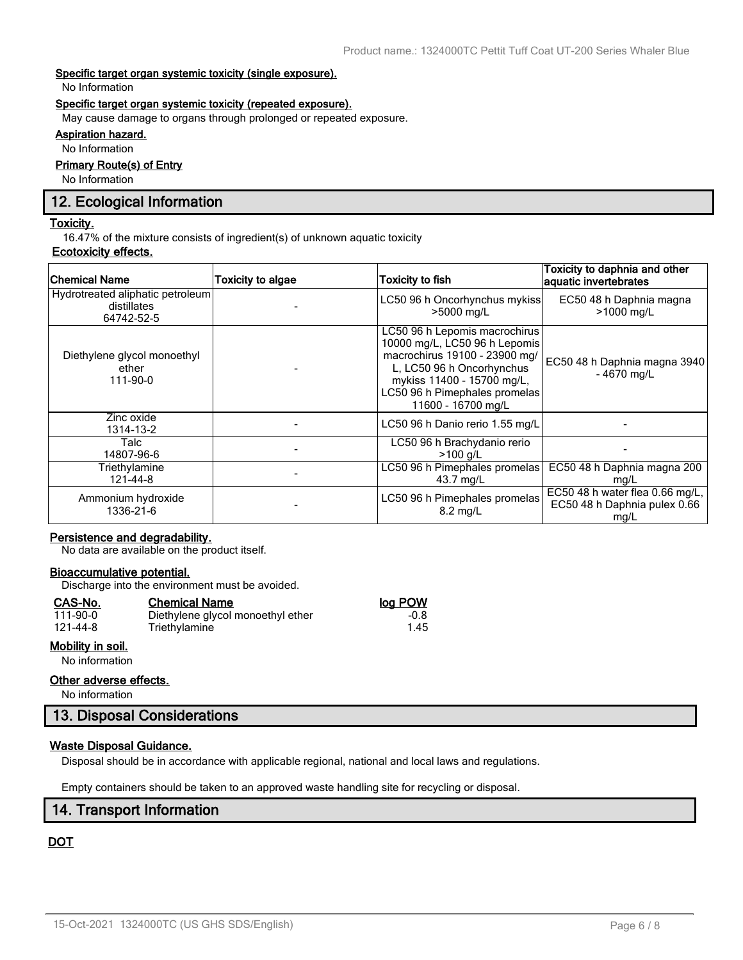### **Specific target organ systemic toxicity (single exposure).**

No Information

### **Specific target organ systemic toxicity (repeated exposure).**

May cause damage to organs through prolonged or repeated exposure.

# **Aspiration hazard.**

No Information

# **Primary Route(s) of Entry**

No Information

# **12. Ecological Information**

### **Toxicity.**

16.47% of the mixture consists of ingredient(s) of unknown aquatic toxicity

### **Ecotoxicity effects.**

| <b>Chemical Name</b>                                          | Toxicity to algae | <b>Toxicity to fish</b>                                                                                                                                                                                           | Toxicity to daphnia and other<br>aquatic invertebrates                  |
|---------------------------------------------------------------|-------------------|-------------------------------------------------------------------------------------------------------------------------------------------------------------------------------------------------------------------|-------------------------------------------------------------------------|
| Hydrotreated aliphatic petroleum<br>distillates<br>64742-52-5 |                   | LC50 96 h Oncorhynchus mykiss<br>>5000 mg/L                                                                                                                                                                       | EC50 48 h Daphnia magna<br>>1000 mg/L                                   |
| Diethylene glycol monoethyl<br>ether<br>111-90-0              |                   | LC50 96 h Lepomis macrochirus<br>10000 mg/L, LC50 96 h Lepomis<br>macrochirus 19100 - 23900 mg/<br>L, LC50 96 h Oncorhynchus<br>mykiss 11400 - 15700 mg/L,<br>LC50 96 h Pimephales promelas<br>11600 - 16700 mg/L | EC50 48 h Daphnia magna 3940<br>$-4670$ mg/L                            |
| Zinc oxide<br>1314-13-2                                       |                   | LC50 96 h Danio rerio 1.55 mg/L                                                                                                                                                                                   |                                                                         |
| Talc<br>14807-96-6                                            |                   | LC50 96 h Brachydanio rerio<br>$>100$ a/L                                                                                                                                                                         |                                                                         |
| Triethylamine<br>121-44-8                                     |                   | LC50 96 h Pimephales promelas<br>43.7 mg/L                                                                                                                                                                        | EC50 48 h Daphnia magna 200<br>mg/L                                     |
| Ammonium hydroxide<br>1336-21-6                               |                   | LC50 96 h Pimephales promelas<br>$8.2 \text{ ma/L}$                                                                                                                                                               | EC50 48 h water flea 0.66 mg/L,<br>EC50 48 h Daphnia pulex 0.66<br>mg/L |

### **Persistence and degradability.**

No data are available on the product itself.

### **Bioaccumulative potential.**

Discharge into the environment must be avoided.

Triethylamine

#### **CAS-No. Chemical Name log POW**

| 111-90-0 |  |
|----------|--|
| 121-44-8 |  |

### **Mobility in soil.**

No information

### **Other adverse effects.**

No information

# **13. Disposal Considerations**

### **Waste Disposal Guidance.**

Disposal should be in accordance with applicable regional, national and local laws and regulations.

Empty containers should be taken to an approved waste handling site for recycling or disposal.

# **14. Transport Information**

# **DOT**

1.00 Diethylene glycol monoethyl ether -0.8<br>1.45 Triethylamine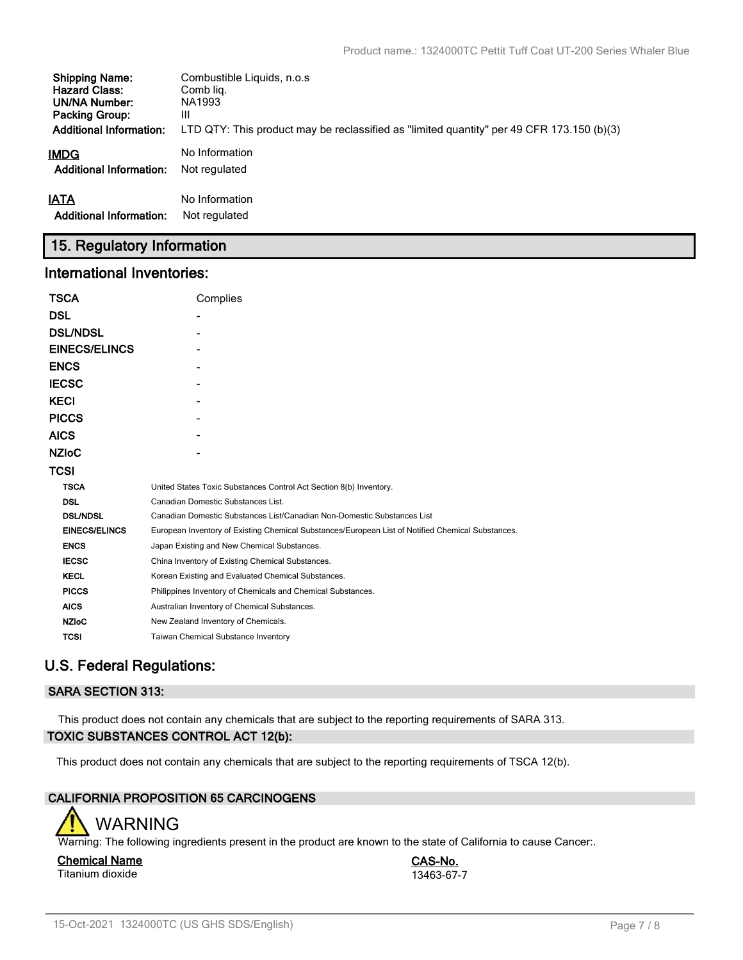| <b>Shipping Name:</b>          | Combustible Liquids, n.o.s.                                                               |
|--------------------------------|-------------------------------------------------------------------------------------------|
| <b>Hazard Class:</b>           | Comb lig.                                                                                 |
| UN/NA Number:                  | NA1993                                                                                    |
| <b>Packing Group:</b>          | Ш                                                                                         |
| <b>Additional Information:</b> | LTD QTY: This product may be reclassified as "limited quantity" per 49 CFR 173.150 (b)(3) |
| <b>IMDG</b>                    | No Information                                                                            |
| <b>Additional Information:</b> | Not regulated                                                                             |
| <b>IATA</b>                    | No Information                                                                            |
| <b>Additional Information:</b> | Not regulated                                                                             |

# **15. Regulatory Information**

# **International Inventories:**

| <b>TSCA</b>          | Complies                                                                                          |  |  |  |  |
|----------------------|---------------------------------------------------------------------------------------------------|--|--|--|--|
| <b>DSL</b>           |                                                                                                   |  |  |  |  |
| <b>DSL/NDSL</b>      |                                                                                                   |  |  |  |  |
| <b>EINECS/ELINCS</b> |                                                                                                   |  |  |  |  |
| <b>ENCS</b>          |                                                                                                   |  |  |  |  |
| <b>IECSC</b>         |                                                                                                   |  |  |  |  |
| <b>KECI</b>          |                                                                                                   |  |  |  |  |
| <b>PICCS</b>         |                                                                                                   |  |  |  |  |
| <b>AICS</b>          |                                                                                                   |  |  |  |  |
| <b>NZIOC</b>         |                                                                                                   |  |  |  |  |
| <b>TCSI</b>          |                                                                                                   |  |  |  |  |
| <b>TSCA</b>          | United States Toxic Substances Control Act Section 8(b) Inventory.                                |  |  |  |  |
| <b>DSL</b>           | Canadian Domestic Substances List.                                                                |  |  |  |  |
| <b>DSL/NDSL</b>      | Canadian Domestic Substances List/Canadian Non-Domestic Substances List                           |  |  |  |  |
| <b>EINECS/ELINCS</b> | European Inventory of Existing Chemical Substances/European List of Notified Chemical Substances. |  |  |  |  |
| <b>ENCS</b>          | Japan Existing and New Chemical Substances.                                                       |  |  |  |  |
| <b>IECSC</b>         | China Inventory of Existing Chemical Substances.                                                  |  |  |  |  |
| <b>KECL</b>          | Korean Existing and Evaluated Chemical Substances.                                                |  |  |  |  |
| <b>PICCS</b>         | Philippines Inventory of Chemicals and Chemical Substances.                                       |  |  |  |  |
| <b>AICS</b>          | Australian Inventory of Chemical Substances.                                                      |  |  |  |  |
| <b>NZIoC</b>         | New Zealand Inventory of Chemicals.                                                               |  |  |  |  |
| <b>TCSI</b>          | Taiwan Chemical Substance Inventory                                                               |  |  |  |  |

# **U.S. Federal Regulations:**

# **SARA SECTION 313:**

This product does not contain any chemicals that are subject to the reporting requirements of SARA 313. **TOXIC SUBSTANCES CONTROL ACT 12(b):**

This product does not contain any chemicals that are subject to the reporting requirements of TSCA 12(b).

# **CALIFORNIA PROPOSITION 65 CARCINOGENS**



Warning: The following ingredients present in the product are known to the state of California to cause Cancer:.

### **Chemical Name CAS-No.** Titanium dioxide